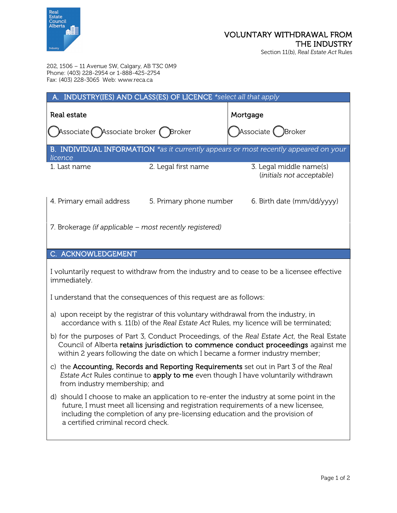

## VOLUNTARY WITHDRAWAL FROM THE INDUSTRY Section 11(b), *Real Estate Act* Rules

202, 1506 – 11 Avenue SW, Calgary, AB T3C 0M9 Phone: (403) 228-2954 or 1-888-425-2754 Fax: (403) 228-3065 Web: www.reca.ca

| A. INDUSTRY(IES) AND CLASS(ES) OF LICENCE *select all that apply                                |                         |                                       |                                                       |  |
|-------------------------------------------------------------------------------------------------|-------------------------|---------------------------------------|-------------------------------------------------------|--|
| Real estate<br>Associate Associate broker Broker                                                |                         | Mortgage<br>$)$ Associate $()$ Broker |                                                       |  |
| B. INDIVIDUAL INFORMATION *as it currently appears or most recently appeared on your<br>licence |                         |                                       |                                                       |  |
| 1. Last name                                                                                    | 2. Legal first name     |                                       | 3. Legal middle name(s)<br>(initials not acceptable)  |  |
| 4. Primary email address                                                                        | 5. Primary phone number |                                       | 6. Birth date $\frac{\text{mm}}{\text{dd}}\text{yyy}$ |  |
| 7. Brokerage (if applicable – most recently registered)                                         |                         |                                       |                                                       |  |

## C. ACKNOWLEDGEMENT

I voluntarily request to withdraw from the industry and to cease to be a licensee effective immediately.

I understand that the consequences of this request are as follows:

- a) upon receipt by the registrar of this voluntary withdrawal from the industry, in accordance with s. 11(b) of the *Real Estate Act* Rules, my licence will be terminated;
- b) for the purposes of Part 3, Conduct Proceedings, of the *Real Estate Act*, the Real Estate Council of Alberta retains jurisdiction to commence conduct proceedings against me within 2 years following the date on which I became a former industry member;
- c) the Accounting, Records and Reporting Requirements set out in Part 3 of the *Real Estate Act* Rules continue to apply to me even though I have voluntarily withdrawn from industry membership; and
- d) should I choose to make an application to re-enter the industry at some point in the future, I must meet all licensing and registration requirements of a new licensee, including the completion of any pre-licensing education and the provision of a certified criminal record check.